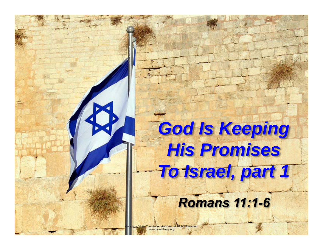# **God Is Keeping** *His Promises To Israel, part 1*

# *Romans 11:1-6*

he Master Ministries. All Rights Reserved. www.neverthirsty.org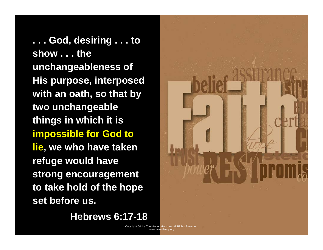**. . . God, desiring . . . to show . . . the unchangeableness of His purpose, interposed with an oath, so that by two unchangeable things in which it is impossible for God to lie, we who have taken refuge would have strong encouragement to take hold of the hope set before us.** 

 **Hebrews 6:17-18** 

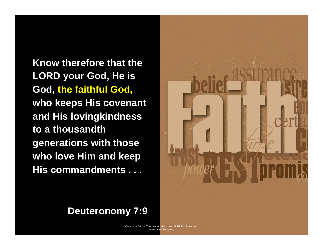**Know therefore that the LORD your God, He is God, the faithful God, who keeps His covenant and His lovingkindness to a thousandth generations with those who love Him and keep His commandments . . .**



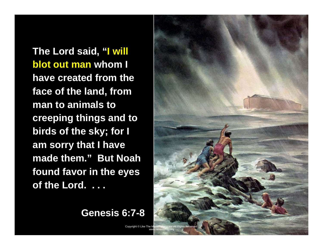**The Lord said, "I will blot out man whom I have created from the face of the land, from man to animals to creeping things and to birds of the sky; for I am sorry that I have made them." But Noah found favor in the eyes of the Lord. . . .**

#### **Genesis 6:7-8**

Copyright © Like The M

www.neverthirsty.org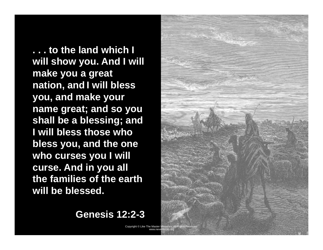**. . . to the land which I will show you. And I will make you a great nation, and I will bless you, and make your name great; and so you shall be a blessing; and I will bless those who bless you, and the one who curses you I will curse. And in you all the families of the earth will be blessed.**



**Genesis 12:2-3**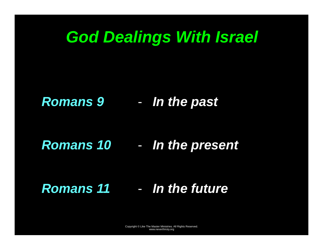# *God Dealings With Israel*

#### *Romans 9*  -*In the past*

#### *Romans 10*  -*In the present*

### *Romans 11*  - *In the future*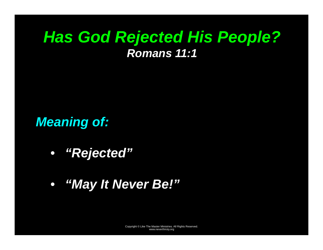# *Has God Rejected His People? Romans 11:1*

*Meaning of:* 

- *"Rejected"*
- *"May It Never Be!"*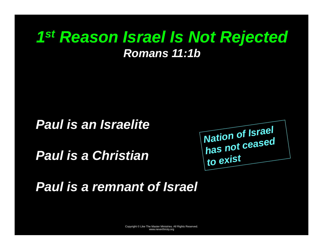# *1st Reason Israel Is Not Rejected Romans 11:1b*

### *Paul is an Israelite*

*Paul is a Christian* 



*Paul is a remnant of Israel*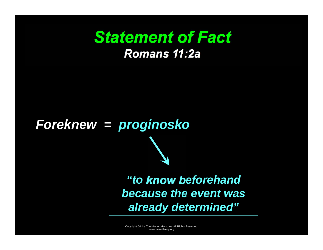# *Statement of Fact Romans 11:2a*

# *Foreknew = proginosko*

### *"to know beforehand because the event was already determined"*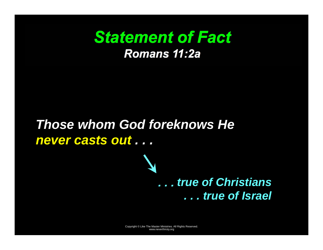# *Statement of Fact Romans 11:2a*

# *Those whom God foreknows He never casts out . . .*

### *. . . true of Christians . . . true of Israel*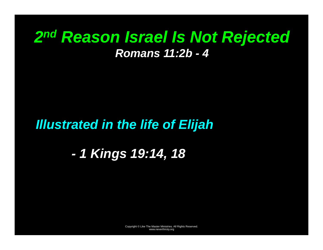# *2nd Reason Israel Is Not Rejected Romans 11:2b - 4*

### *Illustrated in the life of Elijah*

*- 1 Kings 19:14, 18*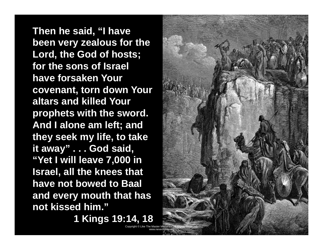**Then he said, "I have been very zealous for the Lord, the God of hosts; for the sons of Israel have forsaken Your covenant, torn down Your altars and killed Your prophets with the sword. And I alone am left; and they seek my life, to take it away" . . . God said, "Yet I will leave 7,000 in Israel, all the knees that have not bowed to Baal and every mouth that has not kissed him."** 

**1 Kings 19:14, 18** 

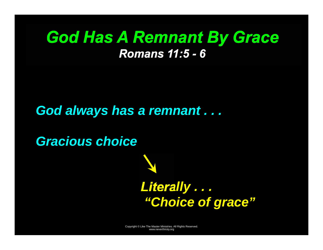# *God Has A Remnant By Grace Romans 11:5 - 6*

### *God always has a remnant . . .*

*Gracious choice* 

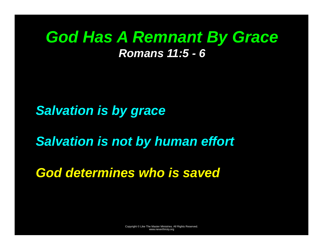# *God Has A Remnant By Grace Romans 11:5 - 6*

*Salvation is by grace* 

*Salvation is not by human effort* 

*God determines who is saved*